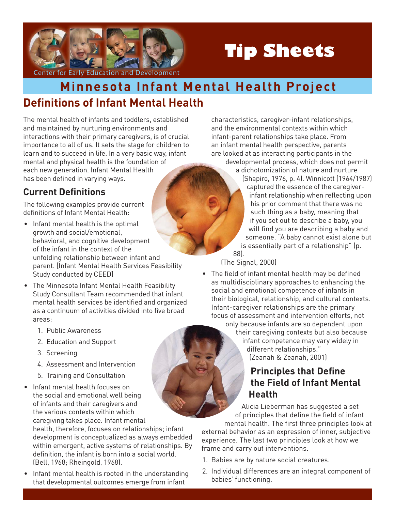

# **Tip Sheets**

Center for Early Education and Development

## **Definitions of Infant Mental Health Minnesota Infant Mental Health Project**

The mental health of infants and toddlers, established and maintained by nurturing environments and interactions with their primary caregivers, is of crucial importance to all of us. It sets the stage for children to learn and to succeed in life. In a very basic way, infant mental and physical health is the foundation of each new generation. Infant Mental Health has been defined in varying ways.

## **Current Definitions**

The following examples provide current definitions of Infant Mental Health:

- Infant mental health is the optimal growth and social/emotional, behavioral, and cognitive development of the infant in the context of the unfolding relationship between infant and parent. [Infant Mental Health Services Feasibility Study conducted by CEED]
- The Minnesota Infant Mental Health Feasibility Study Consultant Team recommended that infant mental health services be identified and organized as a continuum of activities divided into five broad areas:
	- 1. Public Awareness
	- 2. Education and Support
	- 3. Screening
	- 4. Assessment and Intervention
	- 5. Training and Consultation
- Infant mental health focuses on the social and emotional well being of infants and their caregivers and the various contexts within which caregiving takes place. Infant mental health, therefore, focuses on relationships; infant

development is conceptualized as always embedded within emergent, active systems of relationships. By definition, the infant is born into a social world. (Bell, 1968; Rheingold, 1968).

• Infant mental health is rooted in the understanding that developmental outcomes emerge from infant

characteristics, caregiver-infant relationships, and the environmental contexts within which infant-parent relationships take place. From an infant mental health perspective, parents are looked at as interacting participants in the developmental process, which does not permit a dichotomization of nature and nurture (Shapiro, 1976, p. 4). Winnicott (1964/1987) captured the essence of the caregiverinfant relationship when reflecting upon his prior comment that there was no such thing as a baby, meaning that if you set out to describe a baby, you will find you are describing a baby and someone. "A baby cannot exist alone but is essentially part of a relationship" (p. 88).

(The Signal, 2000)

• The field of infant mental health may be defined as multidisciplinary approaches to enhancing the social and emotional competence of infants in their biological, relationship, and cultural contexts. Infant-caregiver relationships are the primary focus of assessment and intervention efforts, not

only because infants are so dependent upon their caregiving contexts but also because infant competence may vary widely in different relationships." (Zeanah & Zeanah, 2001)

### **Principles that Define the Field of Infant Mental Health**

Alicia Lieberman has suggested a set of principles that define the field of infant mental health. The first three principles look at

external behavior as an expression of inner, subjective experience. The last two principles look at how we frame and carry out interventions.

- 1. Babies are by nature social creatures.
- 2. Individual differences are an integral component of babies' functioning.